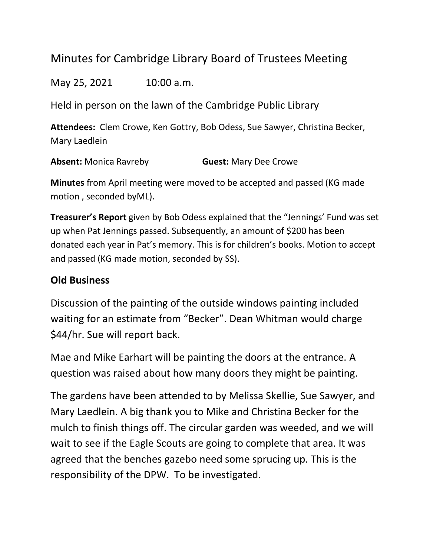## Minutes for Cambridge Library Board of Trustees Meeting

May 25, 2021 10:00 a.m.

Held in person on the lawn of the Cambridge Public Library

**Attendees:** Clem Crowe, Ken Gottry, Bob Odess, Sue Sawyer, Christina Becker, Mary Laedlein

**Absent:** Monica Ravreby **Guest:** Mary Dee Crowe

**Minutes** from April meeting were moved to be accepted and passed (KG made motion , seconded byML).

**Treasurer's Report** given by Bob Odess explained that the "Jennings' Fund was set up when Pat Jennings passed. Subsequently, an amount of \$200 has been donated each year in Pat's memory. This is for children's books. Motion to accept and passed (KG made motion, seconded by SS).

## **Old Business**

Discussion of the painting of the outside windows painting included waiting for an estimate from "Becker". Dean Whitman would charge \$44/hr. Sue will report back.

Mae and Mike Earhart will be painting the doors at the entrance. A question was raised about how many doors they might be painting.

The gardens have been attended to by Melissa Skellie, Sue Sawyer, and Mary Laedlein. A big thank you to Mike and Christina Becker for the mulch to finish things off. The circular garden was weeded, and we will wait to see if the Eagle Scouts are going to complete that area. It was agreed that the benches gazebo need some sprucing up. This is the responsibility of the DPW. To be investigated.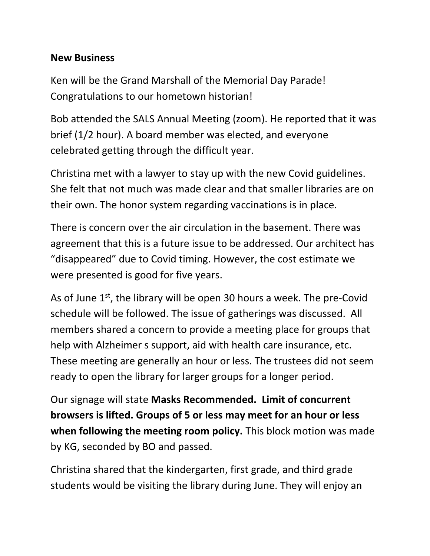## **New Business**

Ken will be the Grand Marshall of the Memorial Day Parade! Congratulations to our hometown historian!

Bob attended the SALS Annual Meeting (zoom). He reported that it was brief (1/2 hour). A board member was elected, and everyone celebrated getting through the difficult year.

Christina met with a lawyer to stay up with the new Covid guidelines. She felt that not much was made clear and that smaller libraries are on their own. The honor system regarding vaccinations is in place.

There is concern over the air circulation in the basement. There was agreement that this is a future issue to be addressed. Our architect has "disappeared" due to Covid timing. However, the cost estimate we were presented is good for five years.

As of June  $1^{st}$ , the library will be open 30 hours a week. The pre-Covid schedule will be followed. The issue of gatherings was discussed. All members shared a concern to provide a meeting place for groups that help with Alzheimer s support, aid with health care insurance, etc. These meeting are generally an hour or less. The trustees did not seem ready to open the library for larger groups for a longer period.

Our signage will state **Masks Recommended. Limit of concurrent browsers is lifted. Groups of 5 or less may meet for an hour or less when following the meeting room policy.** This block motion was made by KG, seconded by BO and passed.

Christina shared that the kindergarten, first grade, and third grade students would be visiting the library during June. They will enjoy an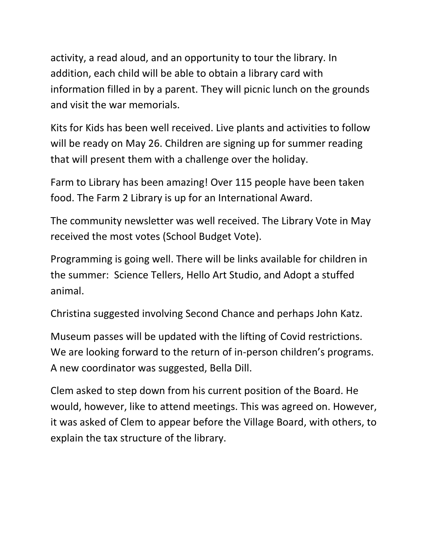activity, a read aloud, and an opportunity to tour the library. In addition, each child will be able to obtain a library card with information filled in by a parent. They will picnic lunch on the grounds and visit the war memorials.

Kits for Kids has been well received. Live plants and activities to follow will be ready on May 26. Children are signing up for summer reading that will present them with a challenge over the holiday.

Farm to Library has been amazing! Over 115 people have been taken food. The Farm 2 Library is up for an International Award.

The community newsletter was well received. The Library Vote in May received the most votes (School Budget Vote).

Programming is going well. There will be links available for children in the summer: Science Tellers, Hello Art Studio, and Adopt a stuffed animal.

Christina suggested involving Second Chance and perhaps John Katz.

Museum passes will be updated with the lifting of Covid restrictions. We are looking forward to the return of in-person children's programs. A new coordinator was suggested, Bella Dill.

Clem asked to step down from his current position of the Board. He would, however, like to attend meetings. This was agreed on. However, it was asked of Clem to appear before the Village Board, with others, to explain the tax structure of the library.